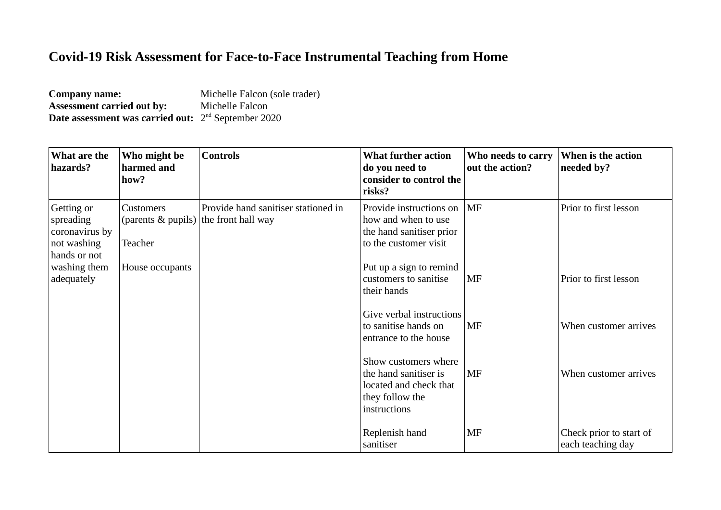## **Covid-19 Risk Assessment for Face-to-Face Instrumental Teaching from Home**

| <b>Company name:</b>                                                   | Michelle Falcon (sole trader) |
|------------------------------------------------------------------------|-------------------------------|
| <b>Assessment carried out by:</b>                                      | Michelle Falcon               |
| <b>Date assessment was carried out:</b> 2 <sup>nd</sup> September 2020 |                               |

| What are the<br>hazards?                                                 | Who might be<br>harmed and<br>how?                            | <b>Controls</b>                     | <b>What further action</b><br>do you need to<br>consider to control the<br>risks?                          | Who needs to carry<br>out the action? | When is the action<br>needed by?             |
|--------------------------------------------------------------------------|---------------------------------------------------------------|-------------------------------------|------------------------------------------------------------------------------------------------------------|---------------------------------------|----------------------------------------------|
| Getting or<br>spreading<br>coronavirus by<br>not washing<br>hands or not | Customers<br>(parents & pupils) the front hall way<br>Teacher | Provide hand sanitiser stationed in | Provide instructions on<br>how and when to use<br>the hand sanitiser prior<br>to the customer visit        | $\overline{\rm MF}$                   | Prior to first lesson                        |
| washing them<br>adequately                                               | House occupants                                               |                                     | Put up a sign to remind<br>customers to sanitise<br>their hands                                            | MF                                    | Prior to first lesson                        |
|                                                                          |                                                               |                                     | Give verbal instructions<br>to sanitise hands on<br>entrance to the house                                  | MF                                    | When customer arrives                        |
|                                                                          |                                                               |                                     | Show customers where<br>the hand sanitiser is<br>located and check that<br>they follow the<br>instructions | MF                                    | When customer arrives                        |
|                                                                          |                                                               |                                     | Replenish hand<br>sanitiser                                                                                | <b>MF</b>                             | Check prior to start of<br>each teaching day |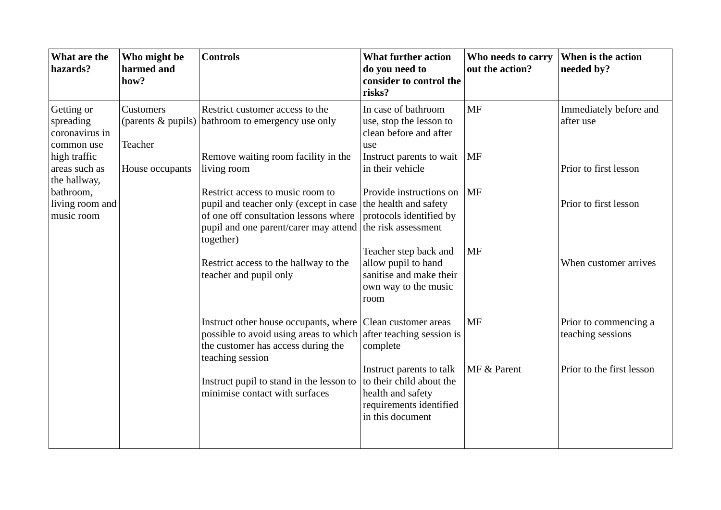| What are the<br>hazards?                                | Who might be<br>harmed and<br>how?         | <b>Controls</b>                                                                                                                                                           | <b>What further action</b><br>do you need to<br>consider to control the<br>risks?                                        | Who needs to carry<br>out the action? | When is the action<br>needed by?           |
|---------------------------------------------------------|--------------------------------------------|---------------------------------------------------------------------------------------------------------------------------------------------------------------------------|--------------------------------------------------------------------------------------------------------------------------|---------------------------------------|--------------------------------------------|
| Getting or<br>spreading<br>coronavirus in<br>common use | Customers<br>(parents & pupils)<br>Teacher | Restrict customer access to the<br>bathroom to emergency use only                                                                                                         | In case of bathroom<br>use, stop the lesson to<br>clean before and after<br>use                                          | MF                                    | Immediately before and<br>after use        |
| high traffic<br>areas such as<br>the hallway,           | House occupants                            | Remove waiting room facility in the<br>living room                                                                                                                        | Instruct parents to wait<br>in their vehicle                                                                             | $\vert$ MF                            | Prior to first lesson                      |
| bathroom,<br>living room and<br>music room              |                                            | Restrict access to music room to<br>pupil and teacher only (except in case<br>of one off consultation lessons where<br>pupil and one parent/carer may attend<br>together) | Provide instructions on<br>the health and safety<br>protocols identified by<br>the risk assessment                       | $\overline{\rm MF}$                   | Prior to first lesson                      |
|                                                         |                                            | Restrict access to the hallway to the<br>teacher and pupil only                                                                                                           | Teacher step back and<br>allow pupil to hand<br>sanitise and make their<br>own way to the music<br>room                  | <b>MF</b>                             | When customer arrives                      |
|                                                         |                                            | Instruct other house occupants, where Clean customer areas<br>possible to avoid using areas to which<br>the customer has access during the<br>teaching session            | after teaching session is<br>complete                                                                                    | MF                                    | Prior to commencing a<br>teaching sessions |
|                                                         |                                            | Instruct pupil to stand in the lesson to<br>minimise contact with surfaces                                                                                                | Instruct parents to talk<br>to their child about the<br>health and safety<br>requirements identified<br>in this document | MF & Parent                           | Prior to the first lesson                  |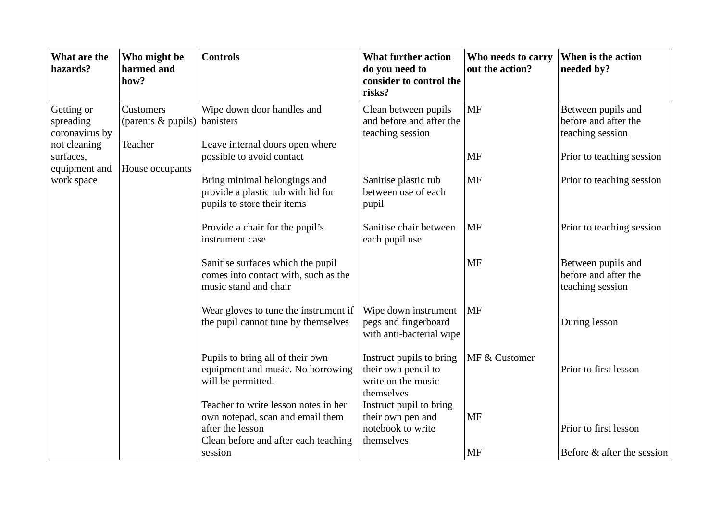| What are the<br>hazards?                   | Who might be<br>harmed and<br>how?           | <b>Controls</b>                                                                                                                                 | <b>What further action</b><br>do you need to<br>consider to control the<br>risks?   | Who needs to carry<br>out the action? | When is the action<br>needed by?                               |
|--------------------------------------------|----------------------------------------------|-------------------------------------------------------------------------------------------------------------------------------------------------|-------------------------------------------------------------------------------------|---------------------------------------|----------------------------------------------------------------|
| Getting or<br>spreading<br>coronavirus by  | Customers<br>(parents $\&$ pupils) banisters | Wipe down door handles and                                                                                                                      | Clean between pupils<br>and before and after the<br>teaching session                | <b>MF</b>                             | Between pupils and<br>before and after the<br>teaching session |
| not cleaning<br>surfaces,<br>equipment and | <b>Teacher</b><br>House occupants            | Leave internal doors open where<br>possible to avoid contact                                                                                    |                                                                                     | MF                                    | Prior to teaching session                                      |
| work space                                 |                                              | Bring minimal belongings and<br>provide a plastic tub with lid for<br>pupils to store their items                                               | Sanitise plastic tub<br>between use of each<br>pupil                                | MF                                    | Prior to teaching session                                      |
|                                            |                                              | Provide a chair for the pupil's<br>instrument case                                                                                              | Sanitise chair between<br>each pupil use                                            | MF                                    | Prior to teaching session                                      |
|                                            |                                              | Sanitise surfaces which the pupil<br>comes into contact with, such as the<br>music stand and chair                                              |                                                                                     | <b>MF</b>                             | Between pupils and<br>before and after the<br>teaching session |
|                                            |                                              | Wear gloves to tune the instrument if<br>the pupil cannot tune by themselves                                                                    | Wipe down instrument<br>pegs and fingerboard<br>with anti-bacterial wipe            | MF                                    | During lesson                                                  |
|                                            |                                              | Pupils to bring all of their own<br>equipment and music. No borrowing<br>will be permitted.                                                     | Instruct pupils to bring<br>their own pencil to<br>write on the music<br>themselves | MF & Customer                         | Prior to first lesson                                          |
|                                            |                                              | Teacher to write lesson notes in her<br>own notepad, scan and email them<br>after the lesson<br>Clean before and after each teaching<br>session | Instruct pupil to bring<br>their own pen and<br>notebook to write<br>themselves     | MF<br>MF                              | Prior to first lesson<br>Before & after the session            |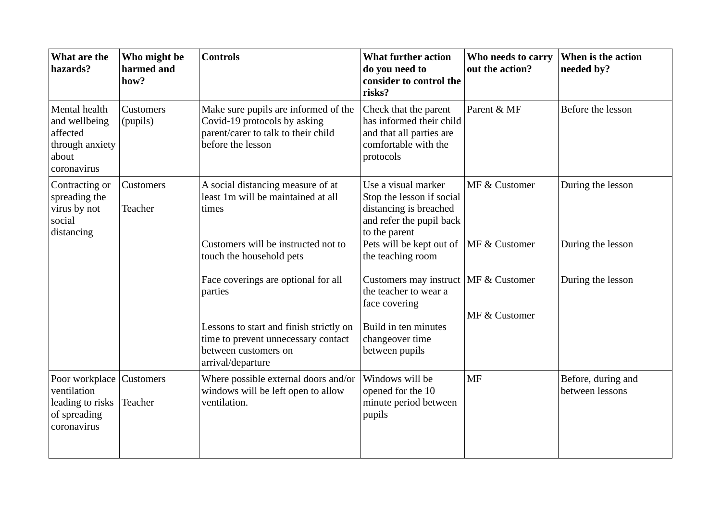| What are the<br>hazards?                                                                   | Who might be<br>harmed and<br>how? | <b>Controls</b>                                                                                                                  | <b>What further action</b><br>do you need to<br>consider to control the<br>risks?                                       | Who needs to carry<br>out the action? | When is the action<br>needed by?      |
|--------------------------------------------------------------------------------------------|------------------------------------|----------------------------------------------------------------------------------------------------------------------------------|-------------------------------------------------------------------------------------------------------------------------|---------------------------------------|---------------------------------------|
| Mental health<br>and wellbeing<br>affected<br>through anxiety<br>about<br>coronavirus      | Customers<br>(pupils)              | Make sure pupils are informed of the<br>Covid-19 protocols by asking<br>parent/carer to talk to their child<br>before the lesson | Check that the parent<br>has informed their child<br>and that all parties are<br>comfortable with the<br>protocols      | Parent & MF                           | Before the lesson                     |
| Contracting or<br>spreading the<br>virus by not<br>social<br>distancing                    | Customers<br>Teacher               | A social distancing measure of at<br>least 1m will be maintained at all<br>times                                                 | Use a visual marker<br>Stop the lesson if social<br>distancing is breached<br>and refer the pupil back<br>to the parent | MF & Customer                         | During the lesson                     |
|                                                                                            |                                    | Customers will be instructed not to<br>touch the household pets                                                                  | Pets will be kept out of   MF & Customer<br>the teaching room                                                           |                                       | During the lesson                     |
|                                                                                            |                                    | Face coverings are optional for all<br>parties                                                                                   | Customers may instruct   MF & Customer<br>the teacher to wear a<br>face covering                                        |                                       | During the lesson                     |
|                                                                                            |                                    | Lessons to start and finish strictly on<br>time to prevent unnecessary contact<br>between customers on<br>arrival/departure      | Build in ten minutes<br>changeover time<br>between pupils                                                               | MF & Customer                         |                                       |
| Poor workplace Customers<br>ventilation<br>leading to risks<br>of spreading<br>coronavirus | Teacher                            | Where possible external doors and/or<br>windows will be left open to allow<br>ventilation.                                       | Windows will be<br>opened for the 10<br>minute period between<br>pupils                                                 | MF                                    | Before, during and<br>between lessons |